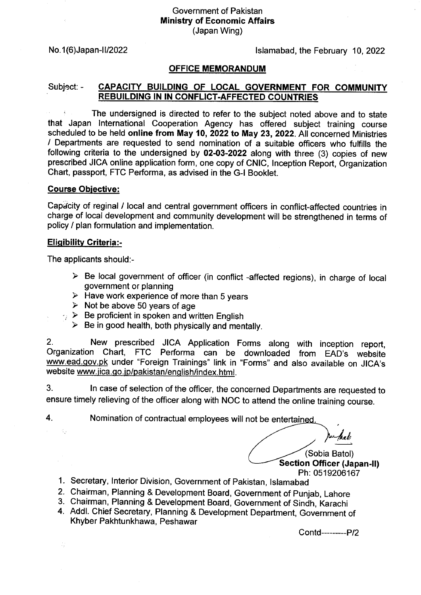## Government of Pakistan Ministry of Economic Affairs (Japan Wing)

No.1(6)Japan-1112022 lslamabad, the February 10,2022

## OFFICE MEMORANDUM

# Subject - CAPACITY BUILDING OF LOCAL GOVERNMENT FOR COMMUNITY REBUILDING !N IN CONFLICT.AFFEGTED COUNTRIES

The undersigned is directed to refer to the subject noted above and to state that Japan International Cooperation Agency has offered subject training course<br>scheduled to be held **online from May 10, 2022 to May 23, 2022**. All concerned Ministries / Departments are requested to send nomination of a suitable officers who fulfills the following criteria to the undersigned by 02-03-2022 along with three (3) copies of new prescribed JICA online application form, one copy of CNIC, lnception Report, Organization Chart, passport, FTC Performa, as advised in the G-l Booklet.

### Gourse Obiective:

Capacity of reginal / local and central government officers in conflict-affected countries in charge of local development and community development will be strengthened in terms of policy / plan formulation and implementation.

#### **Eligibility Criteria:-**

The applicants should:-

- $\triangleright$  Be local government of officer (in conflict -affected regions), in charge of local government or planning
- 
- 
- A Have work experience of more than 5 years <br>  $\triangleright$  Not be above 50 years of age<br>  $\cdot$   $\triangleright$  Be proficient in spoken and written English
	- $\triangleright$  Be in good health, both physically and mentally.

2. New prescribed JlcA Application Forms along with inception report, organization chart, FTc Performa can be downloaded from EAD's website www.ead.gov.pk under "Foreign Trainings" link in "Forms" and also available on JICA's website www.jica.go.jp/pakistan/english/index.html.

3. ln case of selection of the officer, the concerned Departments are requested to ensure timely relieving of the officer along with NOC to attend the online training course.

 $\mathcal{A}_{\mathcal{A}}$ 

÷,

4. Nomination of contractual employees will not be entertained.

upel (Sobia Batol) Section Officer (Japan-ll)

- 
- Ph: 0519206167 1. Secretary, lnterior Division, Government of pakistan, lslamabad
- 3. Chairman, Planning & Development Board, Government of Sindh, Karachi<br>4. Addl. Chief Secretary, Planning & Development Department, Government of
- Khyber Pakhtunkhawa, Peshawar

Contd-:---P/2